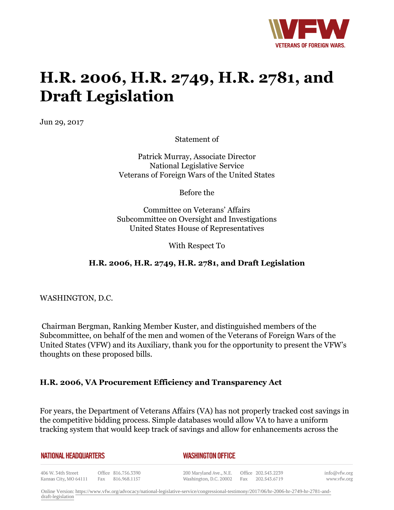

# **H.R. 2006, H.R. 2749, H.R. 2781, and Draft Legislation**

Jun 29, 2017

Statement of

Patrick Murray, Associate Director National Legislative Service Veterans of Foreign Wars of the United States

Before the

Committee on Veterans' Affairs Subcommittee on Oversight and Investigations United States House of Representatives

With Respect To

## **H.R. 2006, H.R. 2749, H.R. 2781, and Draft Legislation**

WASHINGTON, D.C.

Kansas City, MO 64111

Chairman Bergman, Ranking Member Kuster, and distinguished members of the Subcommittee, on behalf of the men and women of the Veterans of Foreign Wars of the United States (VFW) and its Auxiliary, thank you for the opportunity to present the VFW's thoughts on these proposed bills.

#### **H.R. 2006, VA Procurement Efficiency and Transparency Act**

For years, the Department of Veterans Affairs (VA) has not properly tracked cost savings in the competitive bidding process. Simple databases would allow VA to have a uniform tracking system that would keep track of savings and allow for enhancements across the

Washington, D.C. 20002 Fax 202.543.6719

| <b>NATIONAL HEADQUARTERS</b> |                     | <b>WASHINGTON OFFICE</b> |                     |
|------------------------------|---------------------|--------------------------|---------------------|
| 406 W. 34th Street           | Office 816.756.3390 | 200 Maryland Ave., N.E.  | Office 202.543.2239 |

Fax 816.968.1157

info@vfw.org www.vfw.org

Online Version: [https://www.vfw.org/advocacy/national-legislative-service/congressional-testimony/2017/06/hr-2006-hr-2749-hr-2781-and](https://www.vfw.org/advocacy/national-legislative-service/congressional-testimony/2017/06/hr-2006-hr-2749-hr-2781-and-draft-legislation)[draft-legislation](https://www.vfw.org/advocacy/national-legislative-service/congressional-testimony/2017/06/hr-2006-hr-2749-hr-2781-and-draft-legislation)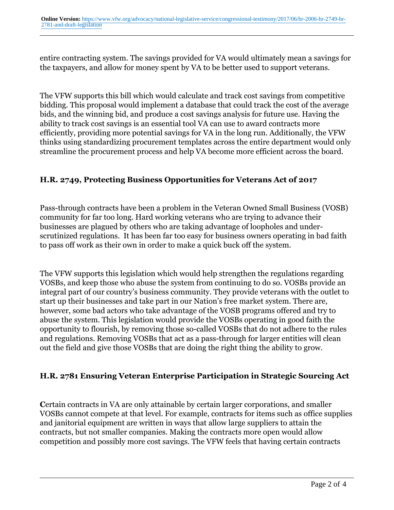entire contracting system. The savings provided for VA would ultimately mean a savings for the taxpayers, and allow for money spent by VA to be better used to support veterans.

The VFW supports this bill which would calculate and track cost savings from competitive bidding. This proposal would implement a database that could track the cost of the average bids, and the winning bid, and produce a cost savings analysis for future use. Having the ability to track cost savings is an essential tool VA can use to award contracts more efficiently, providing more potential savings for VA in the long run. Additionally, the VFW thinks using standardizing procurement templates across the entire department would only streamline the procurement process and help VA become more efficient across the board.

### **H.R. 2749, Protecting Business Opportunities for Veterans Act of 2017**

Pass-through contracts have been a problem in the Veteran Owned Small Business (VOSB) community for far too long. Hard working veterans who are trying to advance their businesses are plagued by others who are taking advantage of loopholes and underscrutinized regulations. It has been far too easy for business owners operating in bad faith to pass off work as their own in order to make a quick buck off the system.

The VFW supports this legislation which would help strengthen the regulations regarding VOSBs, and keep those who abuse the system from continuing to do so. VOSBs provide an integral part of our country's business community. They provide veterans with the outlet to start up their businesses and take part in our Nation's free market system. There are, however, some bad actors who take advantage of the VOSB programs offered and try to abuse the system. This legislation would provide the VOSBs operating in good faith the opportunity to flourish, by removing those so-called VOSBs that do not adhere to the rules and regulations. Removing VOSBs that act as a pass-through for larger entities will clean out the field and give those VOSBs that are doing the right thing the ability to grow.

#### **H.R. 2781 Ensuring Veteran Enterprise Participation in Strategic Sourcing Act**

**C**ertain contracts in VA are only attainable by certain larger corporations, and smaller VOSBs cannot compete at that level. For example, contracts for items such as office supplies and janitorial equipment are written in ways that allow large suppliers to attain the contracts, but not smaller companies. Making the contracts more open would allow competition and possibly more cost savings. The VFW feels that having certain contracts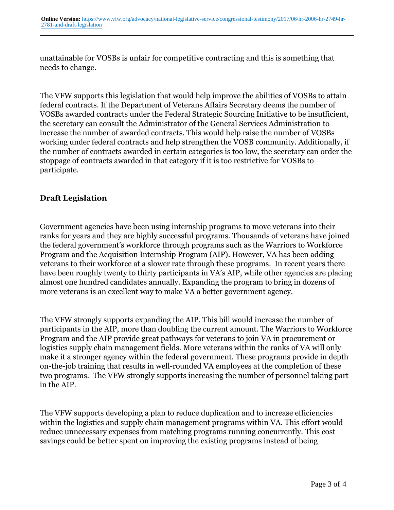unattainable for VOSBs is unfair for competitive contracting and this is something that needs to change.

The VFW supports this legislation that would help improve the abilities of VOSBs to attain federal contracts. If the Department of Veterans Affairs Secretary deems the number of VOSBs awarded contracts under the Federal Strategic Sourcing Initiative to be insufficient, the secretary can consult the Administrator of the General Services Administration to increase the number of awarded contracts. This would help raise the number of VOSBs working under federal contracts and help strengthen the VOSB community. Additionally, if the number of contracts awarded in certain categories is too low, the secretary can order the stoppage of contracts awarded in that category if it is too restrictive for VOSBs to participate.

### **Draft Legislation**

Government agencies have been using internship programs to move veterans into their ranks for years and they are highly successful programs. Thousands of veterans have joined the federal government's workforce through programs such as the Warriors to Workforce Program and the Acquisition Internship Program (AIP). However, VA has been adding veterans to their workforce at a slower rate through these programs. In recent years there have been roughly twenty to thirty participants in VA's AIP, while other agencies are placing almost one hundred candidates annually. Expanding the program to bring in dozens of more veterans is an excellent way to make VA a better government agency.

The VFW strongly supports expanding the AIP. This bill would increase the number of participants in the AIP, more than doubling the current amount. The Warriors to Workforce Program and the AIP provide great pathways for veterans to join VA in procurement or logistics supply chain management fields. More veterans within the ranks of VA will only make it a stronger agency within the federal government. These programs provide in depth on-the-job training that results in well-rounded VA employees at the completion of these two programs. The VFW strongly supports increasing the number of personnel taking part in the AIP.

The VFW supports developing a plan to reduce duplication and to increase efficiencies within the logistics and supply chain management programs within VA. This effort would reduce unnecessary expenses from matching programs running concurrently. This cost savings could be better spent on improving the existing programs instead of being